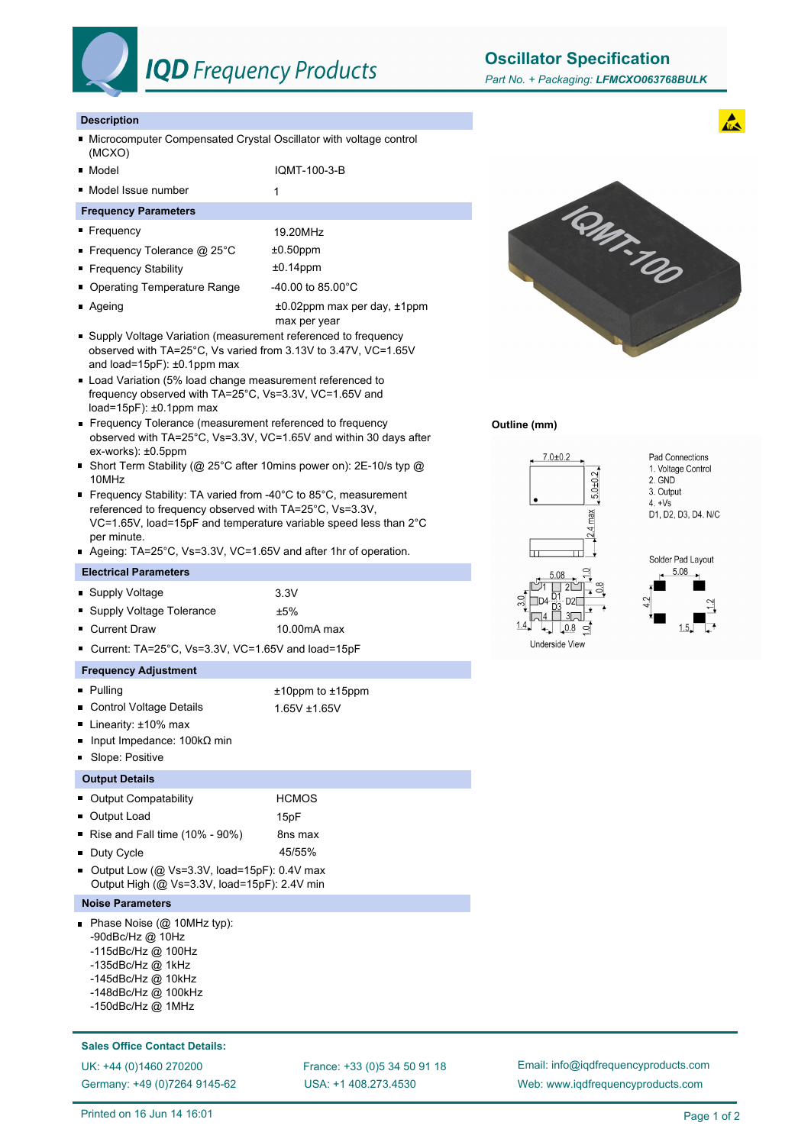

**Oscillator Specification**

# **Description**

- Microcomputer Compensated Crystal Oscillator with voltage control (MCXO)
- Model IQMT-100-3-B
- Model Issue number 1

### **Frequency Parameters**

- Frequency 19.20MHz
- Frequency Tolerance @ 25°C  $\pm 0.50$ ppm
- Frequency Stability **be a matter of the frequency** Stability
- Operating Temperature Range 40.00 to 85.00°C
- 
- Ageing the according to the according to the 40.02ppm max per day, ±1ppm max per year
- Supply Voltage Variation (measurement referenced to frequency observed with TA=25°C, Vs varied from 3.13V to 3.47V, VC=1.65V and load=15pF): ±0.1ppm max
- Load Variation (5% load change measurement referenced to frequency observed with TA=25°C, Vs=3.3V, VC=1.65V and load=15 $pF$ ):  $\pm 0.1$ ppm max
- Frequency Tolerance (measurement referenced to frequency observed with TA=25°C, Vs=3.3V, VC=1.65V and within 30 days after ex-works): ±0.5ppm
- Short Term Stability (@ 25°C after 10mins power on): 2E-10/s typ @ 10MHz
- Frequency Stability: TA varied from -40°C to 85°C, measurement referenced to frequency observed with TA=25°C, Vs=3.3V, VC=1.65V, load=15pF and temperature variable speed less than 2°C per minute.
- Ageing: TA=25°C, Vs=3.3V, VC=1.65V and after 1hr of operation.

#### **Electrical Parameters**

- Supply Voltage 3.3V
- Supply Voltage Tolerance  $±5\%$
- Current Draw 10.00mA max

■ Current: TA=25°C, Vs=3.3V, VC=1.65V and load=15pF

## **Frequency Adjustment**

- Pulling to the total to the total three to the total to the total to the total to the total to the total to the total to the total to the total to the total to the total to the total to the total to the total to the tot
- Control Voltage Details 1.65V ± 1.65V
- Linearity: ±10% max
- Input Impedance: 100kΩ min
- Slope: Positive

### **Output Details**

- Output Compatability **HCMOS** ■ Output Load 15pF Rise and Fall time (10% - 90%) 8ns max ■ Duty Cycle 45/55% Output Low (@ Vs=3.3V, load=15pF): 0.4V max
- Output High (@ Vs=3.3V, load=15pF): 2.4V min

## **Noise Parameters**

- Phase Noise (@ 10MHz typ):
	- -90dBc/Hz @ 10Hz
	- -115dBc/Hz @ 100Hz
	- -135dBc/Hz @ 1kHz
	- -145dBc/Hz @ 10kHz
	- -148dBc/Hz @ 100kHz
	- -150dBc/Hz @ 1MHz

## **Sales Office Contact Details:**

Germany: +49 (0)7264 9145-62

USA: +1 408.273.4530 UK: +44 (0)1460 270200 France: +33 (0)5 34 50 91 18



### **Outline (mm)**